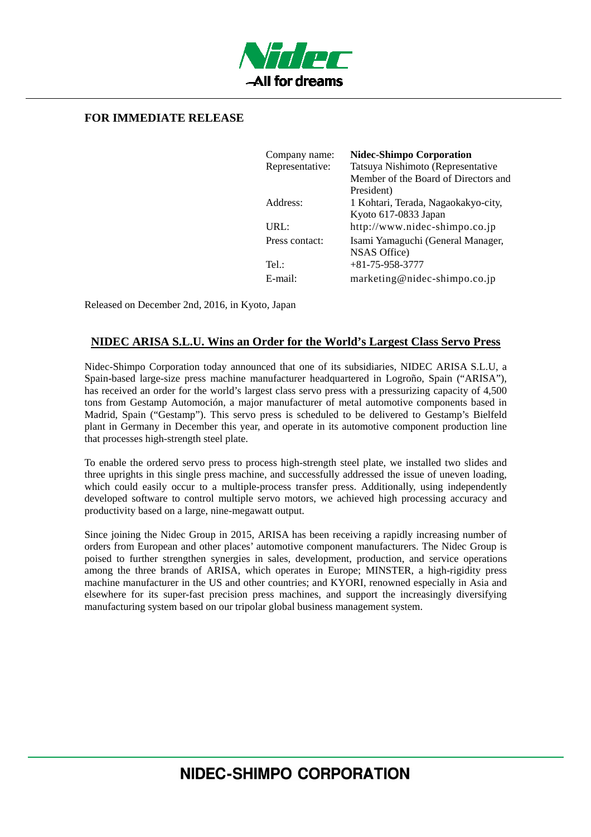

## **FOR IMMEDIATE RELEASE**

| Company name:   | <b>Nidec-Shimpo Corporation</b>      |
|-----------------|--------------------------------------|
| Representative: | Tatsuya Nishimoto (Representative    |
|                 | Member of the Board of Directors and |
|                 | President)                           |
| Address:        | 1 Kohtari, Terada, Nagaokakyo-city,  |
|                 | Kyoto 617-0833 Japan                 |
| URL:            | http://www.nidec-shimpo.co.jp        |
| Press contact:  | Isami Yamaguchi (General Manager,    |
|                 | NSAS Office)                         |
| Tel:            | $+81 - 75 - 958 - 3777$              |
| $E$ -mail:      | marketing@nidec-shimpo.co.jp         |

Released on December 2nd, 2016, in Kyoto, Japan

## **NIDEC ARISA S.L.U. Wins an Order for the World's Largest Class Servo Press**

Nidec-Shimpo Corporation today announced that one of its subsidiaries, NIDEC ARISA S.L.U, a Spain-based large-size press machine manufacturer headquartered in Logroño, Spain ("ARISA"), has received an order for the world's largest class servo press with a pressurizing capacity of 4,500 tons from Gestamp Automoción, a major manufacturer of metal automotive components based in Madrid, Spain ("Gestamp"). This servo press is scheduled to be delivered to Gestamp's Bielfeld plant in Germany in December this year, and operate in its automotive component production line that processes high-strength steel plate.

To enable the ordered servo press to process high-strength steel plate, we installed two slides and three uprights in this single press machine, and successfully addressed the issue of uneven loading, which could easily occur to a multiple-process transfer press. Additionally, using independently developed software to control multiple servo motors, we achieved high processing accuracy and productivity based on a large, nine-megawatt output.

Since joining the Nidec Group in 2015, ARISA has been receiving a rapidly increasing number of orders from European and other places' automotive component manufacturers. The Nidec Group is poised to further strengthen synergies in sales, development, production, and service operations among the three brands of ARISA, which operates in Europe; MINSTER, a high-rigidity press machine manufacturer in the US and other countries; and KYORI, renowned especially in Asia and elsewhere for its super-fast precision press machines, and support the increasingly diversifying manufacturing system based on our tripolar global business management system.